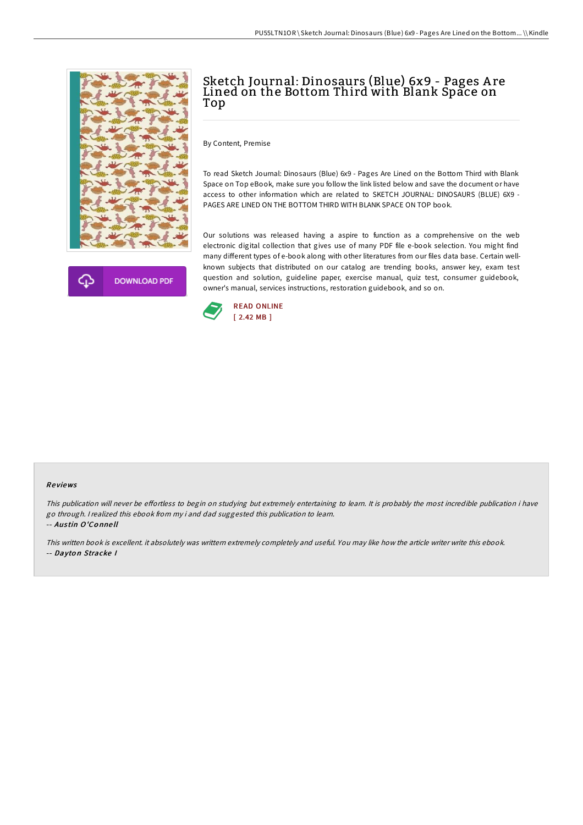



## Sketch Journal: Dinosaurs (Blue) 6x9 - Pages A re Lined on the Bottom Third with Blank Space on Top

By Content, Premise

To read Sketch Journal: Dinosaurs (Blue) 6x9 - Pages Are Lined on the Bottom Third with Blank Space on Top eBook, make sure you follow the link listed below and save the document or have access to other information which are related to SKETCH JOURNAL: DINOSAURS (BLUE) 6X9 - PAGES ARE LINED ON THE BOTTOM THIRD WITH BLANK SPACE ON TOP book.

Our solutions was released having a aspire to function as a comprehensive on the web electronic digital collection that gives use of many PDF file e-book selection. You might find many different types of e-book along with other literatures from our files data base. Certain wellknown subjects that distributed on our catalog are trending books, answer key, exam test question and solution, guideline paper, exercise manual, quiz test, consumer guidebook, owner's manual, services instructions, restoration guidebook, and so on.



## Re views

This publication will never be effortless to begin on studying but extremely entertaining to learn. It is probably the most incredible publication i have go through. <sup>I</sup> realized this ebook from my i and dad suggested this publication to learn. -- Aus tin O'Co nne ll

This written book is excellent. it absolutely was writtern extremely completely and useful. You may like how the article writer write this ebook. -- Dayto <sup>n</sup> Stracke I